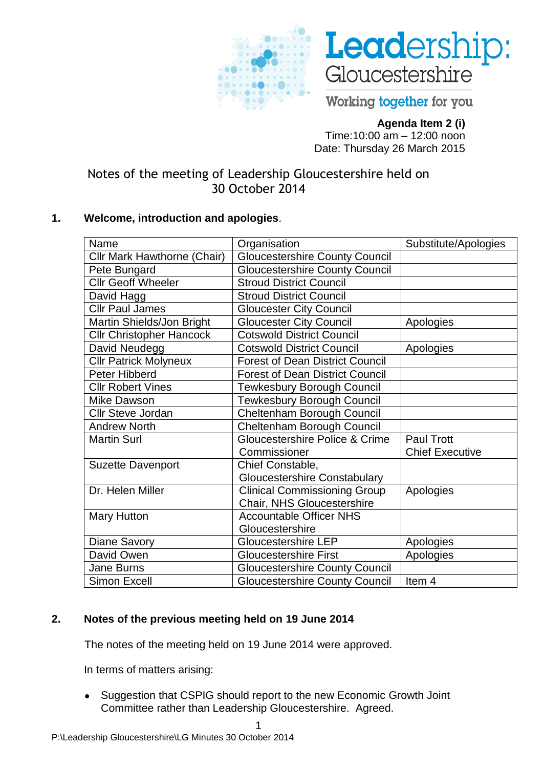



Working together for you

# **Agenda Item 2 (i)**

Time:10:00 am – 12:00 noon Date: Thursday 26 March 2015

Notes of the meeting of Leadership Gloucestershire held on 30 October 2014

# **1. Welcome, introduction and apologies**.

| Name                               | Organisation                           | Substitute/Apologies   |
|------------------------------------|----------------------------------------|------------------------|
| <b>Cllr Mark Hawthorne (Chair)</b> | <b>Gloucestershire County Council</b>  |                        |
| Pete Bungard                       | <b>Gloucestershire County Council</b>  |                        |
| <b>Cllr Geoff Wheeler</b>          | <b>Stroud District Council</b>         |                        |
| David Hagg                         | <b>Stroud District Council</b>         |                        |
| <b>Cllr Paul James</b>             | <b>Gloucester City Council</b>         |                        |
| Martin Shields/Jon Bright          | <b>Gloucester City Council</b>         | Apologies              |
| <b>Cllr Christopher Hancock</b>    | <b>Cotswold District Council</b>       |                        |
| David Neudegg                      | <b>Cotswold District Council</b>       | Apologies              |
| <b>Cllr Patrick Molyneux</b>       | <b>Forest of Dean District Council</b> |                        |
| Peter Hibberd                      | <b>Forest of Dean District Council</b> |                        |
| <b>Cllr Robert Vines</b>           | <b>Tewkesbury Borough Council</b>      |                        |
| Mike Dawson                        | <b>Tewkesbury Borough Council</b>      |                        |
| <b>Cllr Steve Jordan</b>           | Cheltenham Borough Council             |                        |
| <b>Andrew North</b>                | Cheltenham Borough Council             |                        |
| <b>Martin Surl</b>                 | Gloucestershire Police & Crime         | <b>Paul Trott</b>      |
|                                    | Commissioner                           | <b>Chief Executive</b> |
| <b>Suzette Davenport</b>           | Chief Constable,                       |                        |
|                                    | <b>Gloucestershire Constabulary</b>    |                        |
| Dr. Helen Miller                   | <b>Clinical Commissioning Group</b>    | Apologies              |
|                                    | Chair, NHS Gloucestershire             |                        |
| <b>Mary Hutton</b>                 | <b>Accountable Officer NHS</b>         |                        |
|                                    | Gloucestershire                        |                        |
| <b>Diane Savory</b>                | <b>Gloucestershire LEP</b>             | Apologies              |
| David Owen                         | <b>Gloucestershire First</b>           | Apologies              |
| <b>Jane Burns</b>                  | <b>Gloucestershire County Council</b>  |                        |
| <b>Simon Excell</b>                | <b>Gloucestershire County Council</b>  | Item 4                 |

# **2. Notes of the previous meeting held on 19 June 2014**

The notes of the meeting held on 19 June 2014 were approved.

In terms of matters arising:

Suggestion that CSPIG should report to the new Economic Growth Joint  $\bullet$ Committee rather than Leadership Gloucestershire. Agreed.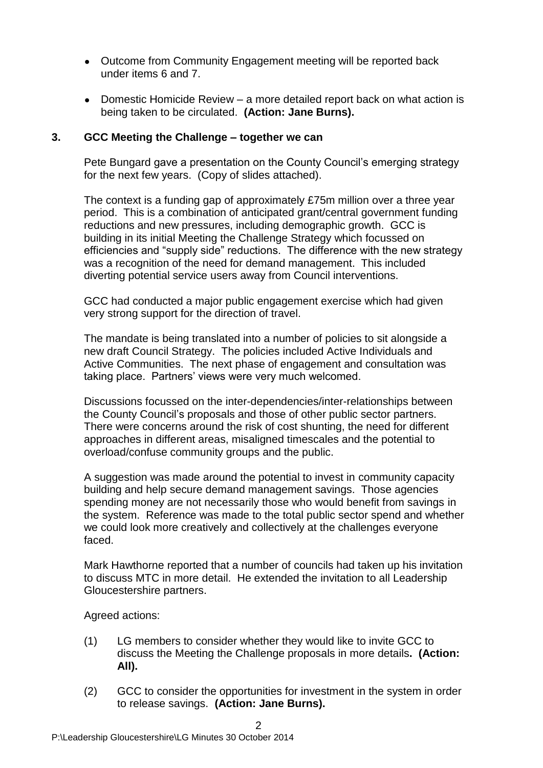- Outcome from Community Engagement meeting will be reported back under items 6 and 7.
- Domestic Homicide Review a more detailed report back on what action is being taken to be circulated. **(Action: Jane Burns).**

## **3. GCC Meeting the Challenge – together we can**

Pete Bungard gave a presentation on the County Council's emerging strategy for the next few years. (Copy of slides attached).

The context is a funding gap of approximately £75m million over a three year period. This is a combination of anticipated grant/central government funding reductions and new pressures, including demographic growth. GCC is building in its initial Meeting the Challenge Strategy which focussed on efficiencies and "supply side" reductions. The difference with the new strategy was a recognition of the need for demand management. This included diverting potential service users away from Council interventions.

GCC had conducted a major public engagement exercise which had given very strong support for the direction of travel.

The mandate is being translated into a number of policies to sit alongside a new draft Council Strategy. The policies included Active Individuals and Active Communities. The next phase of engagement and consultation was taking place. Partners' views were very much welcomed.

Discussions focussed on the inter-dependencies/inter-relationships between the County Council's proposals and those of other public sector partners. There were concerns around the risk of cost shunting, the need for different approaches in different areas, misaligned timescales and the potential to overload/confuse community groups and the public.

A suggestion was made around the potential to invest in community capacity building and help secure demand management savings. Those agencies spending money are not necessarily those who would benefit from savings in the system. Reference was made to the total public sector spend and whether we could look more creatively and collectively at the challenges everyone faced.

Mark Hawthorne reported that a number of councils had taken up his invitation to discuss MTC in more detail. He extended the invitation to all Leadership Gloucestershire partners.

Agreed actions:

- (1) LG members to consider whether they would like to invite GCC to discuss the Meeting the Challenge proposals in more details**. (Action: All).**
- (2) GCC to consider the opportunities for investment in the system in order to release savings. **(Action: Jane Burns).**

 $\mathfrak{D}$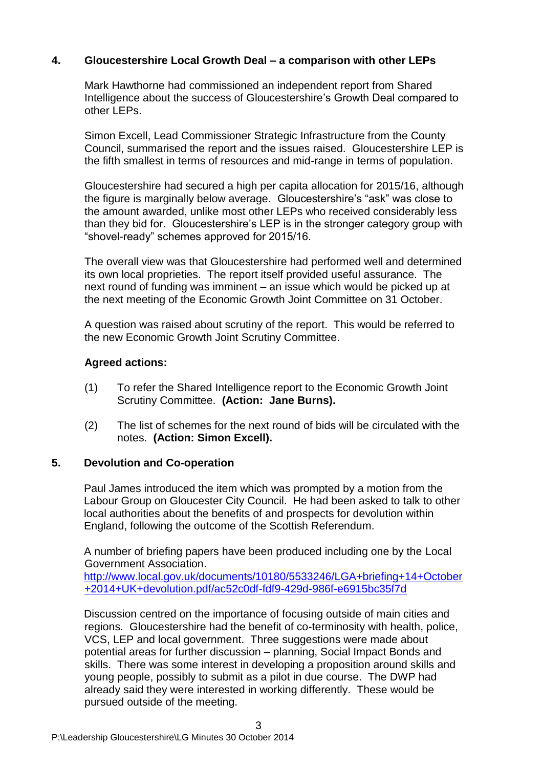## **4. Gloucestershire Local Growth Deal – a comparison with other LEPs**

Mark Hawthorne had commissioned an independent report from Shared Intelligence about the success of Gloucestershire's Growth Deal compared to other LEPs.

Simon Excell, Lead Commissioner Strategic Infrastructure from the County Council, summarised the report and the issues raised. Gloucestershire LEP is the fifth smallest in terms of resources and mid-range in terms of population.

Gloucestershire had secured a high per capita allocation for 2015/16, although the figure is marginally below average. Gloucestershire's "ask" was close to the amount awarded, unlike most other LEPs who received considerably less than they bid for. Gloucestershire's LEP is in the stronger category group with "shovel-ready" schemes approved for 2015/16.

The overall view was that Gloucestershire had performed well and determined its own local proprieties. The report itself provided useful assurance. The next round of funding was imminent – an issue which would be picked up at the next meeting of the Economic Growth Joint Committee on 31 October.

A question was raised about scrutiny of the report. This would be referred to the new Economic Growth Joint Scrutiny Committee.

## **Agreed actions:**

- (1) To refer the Shared Intelligence report to the Economic Growth Joint Scrutiny Committee. **(Action: Jane Burns).**
- (2) The list of schemes for the next round of bids will be circulated with the notes. **(Action: Simon Excell).**

#### **5. Devolution and Co-operation**

Paul James introduced the item which was prompted by a motion from the Labour Group on Gloucester City Council. He had been asked to talk to other local authorities about the benefits of and prospects for devolution within England, following the outcome of the Scottish Referendum.

A number of briefing papers have been produced including one by the Local Government Association.

[http://www.local.gov.uk/documents/10180/5533246/LGA+briefing+14+October](http://www.local.gov.uk/documents/10180/5533246/LGA+briefing+14+October+2014+UK+devolution.pdf/ac52c0df-fdf9-429d-986f-e6915bc35f7d) [+2014+UK+devolution.pdf/ac52c0df-fdf9-429d-986f-e6915bc35f7d](http://www.local.gov.uk/documents/10180/5533246/LGA+briefing+14+October+2014+UK+devolution.pdf/ac52c0df-fdf9-429d-986f-e6915bc35f7d)

Discussion centred on the importance of focusing outside of main cities and regions. Gloucestershire had the benefit of co-terminosity with health, police, VCS, LEP and local government. Three suggestions were made about potential areas for further discussion – planning, Social Impact Bonds and skills. There was some interest in developing a proposition around skills and young people, possibly to submit as a pilot in due course. The DWP had already said they were interested in working differently. These would be pursued outside of the meeting.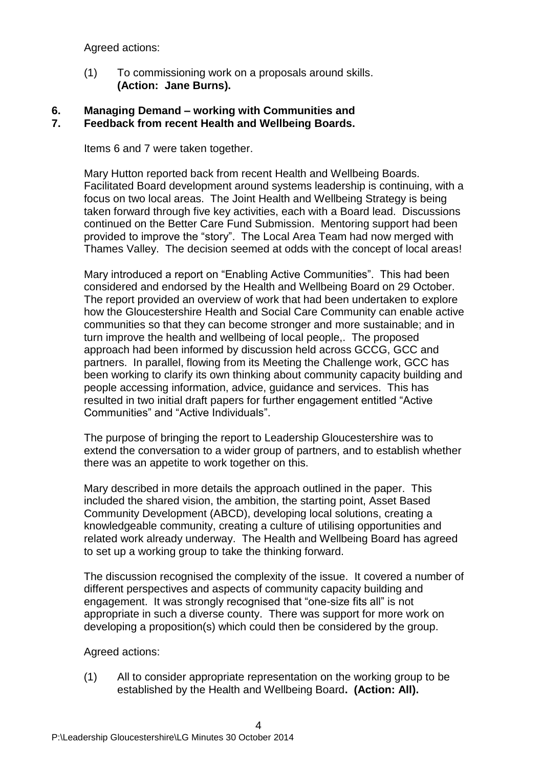Agreed actions:

(1) To commissioning work on a proposals around skills. **(Action: Jane Burns).**

## **6. Managing Demand – working with Communities and 7. Feedback from recent Health and Wellbeing Boards.**

Items 6 and 7 were taken together.

Mary Hutton reported back from recent Health and Wellbeing Boards. Facilitated Board development around systems leadership is continuing, with a focus on two local areas. The Joint Health and Wellbeing Strategy is being taken forward through five key activities, each with a Board lead. Discussions continued on the Better Care Fund Submission. Mentoring support had been provided to improve the "story". The Local Area Team had now merged with Thames Valley. The decision seemed at odds with the concept of local areas!

Mary introduced a report on "Enabling Active Communities". This had been considered and endorsed by the Health and Wellbeing Board on 29 October. The report provided an overview of work that had been undertaken to explore how the Gloucestershire Health and Social Care Community can enable active communities so that they can become stronger and more sustainable; and in turn improve the health and wellbeing of local people,. The proposed approach had been informed by discussion held across GCCG, GCC and partners. In parallel, flowing from its Meeting the Challenge work, GCC has been working to clarify its own thinking about community capacity building and people accessing information, advice, guidance and services. This has resulted in two initial draft papers for further engagement entitled "Active Communities" and "Active Individuals".

The purpose of bringing the report to Leadership Gloucestershire was to extend the conversation to a wider group of partners, and to establish whether there was an appetite to work together on this.

Mary described in more details the approach outlined in the paper. This included the shared vision, the ambition, the starting point, Asset Based Community Development (ABCD), developing local solutions, creating a knowledgeable community, creating a culture of utilising opportunities and related work already underway. The Health and Wellbeing Board has agreed to set up a working group to take the thinking forward.

The discussion recognised the complexity of the issue. It covered a number of different perspectives and aspects of community capacity building and engagement. It was strongly recognised that "one-size fits all" is not appropriate in such a diverse county. There was support for more work on developing a proposition(s) which could then be considered by the group.

Agreed actions:

(1) All to consider appropriate representation on the working group to be established by the Health and Wellbeing Board**. (Action: All).**